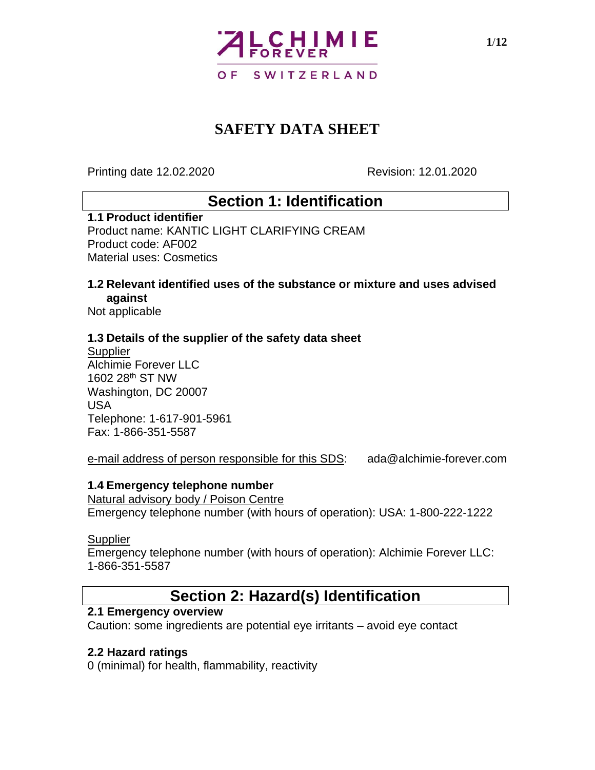

Printing date 12.02.2020 Revision: 12.01.2020

## **Section 1: Identification**

#### **1.1 Product identifier**

Product name: KANTIC LIGHT CLARIFYING CREAM Product code: AF002 Material uses: Cosmetics

#### **1.2 Relevant identified uses of the substance or mixture and uses advised against**

Not applicable

#### **1.3 Details of the supplier of the safety data sheet**

**Supplier** Alchimie Forever LLC 1602 28th ST NW Washington, DC 20007 USA Telephone: 1-617-901-5961 Fax: 1-866-351-5587

e-mail address of person responsible for this SDS: ada@alchimie-forever.com

#### **1.4 Emergency telephone number**

Natural advisory body / Poison Centre Emergency telephone number (with hours of operation): USA: 1-800-222-1222

#### **Supplier**

Emergency telephone number (with hours of operation): Alchimie Forever LLC: 1-866-351-5587

### **Section 2: Hazard(s) Identification**

### **2.1 Emergency overview**

Caution: some ingredients are potential eye irritants – avoid eye contact

#### **2.2 Hazard ratings**

0 (minimal) for health, flammability, reactivity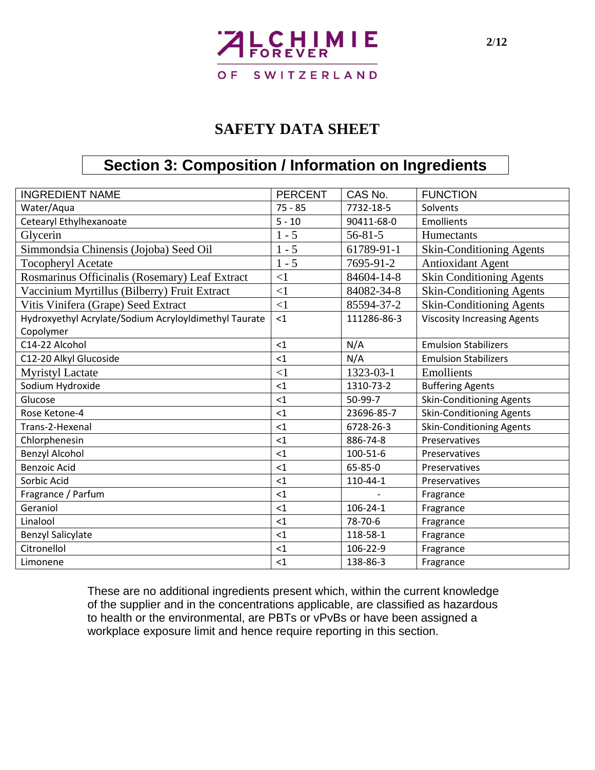# **LCHIMIE SWITZERLAND** O F

## **SAFETY DATA SHEET**

## **Section 3: Composition / Information on Ingredients**

| <b>INGREDIENT NAME</b>                                | <b>PERCENT</b> | CAS No.        | <b>FUNCTION</b>                    |  |
|-------------------------------------------------------|----------------|----------------|------------------------------------|--|
| Water/Aqua                                            | $75 - 85$      | 7732-18-5      | Solvents                           |  |
|                                                       |                |                |                                    |  |
| Cetearyl Ethylhexanoate                               | $5 - 10$       | 90411-68-0     | Emollients                         |  |
| Glycerin                                              | $1 - 5$        | $56 - 81 - 5$  | Humectants                         |  |
| Simmondsia Chinensis (Jojoba) Seed Oil                | $1 - 5$        | 61789-91-1     | <b>Skin-Conditioning Agents</b>    |  |
| <b>Tocopheryl Acetate</b>                             | $1 - 5$        | 7695-91-2      | <b>Antioxidant Agent</b>           |  |
| Rosmarinus Officinalis (Rosemary) Leaf Extract        | $\leq$ 1       | 84604-14-8     | <b>Skin Conditioning Agents</b>    |  |
| Vaccinium Myrtillus (Bilberry) Fruit Extract          | $\leq$ 1       | 84082-34-8     | <b>Skin-Conditioning Agents</b>    |  |
| Vitis Vinifera (Grape) Seed Extract                   | $\leq$ 1       | 85594-37-2     | <b>Skin-Conditioning Agents</b>    |  |
| Hydroxyethyl Acrylate/Sodium Acryloyldimethyl Taurate | $<$ 1          | 111286-86-3    | <b>Viscosity Increasing Agents</b> |  |
| Copolymer                                             |                |                |                                    |  |
| C14-22 Alcohol                                        | $<$ 1          | N/A            | <b>Emulsion Stabilizers</b>        |  |
| C12-20 Alkyl Glucoside                                | $<$ 1          | N/A            | <b>Emulsion Stabilizers</b>        |  |
| <b>Myristyl Lactate</b>                               | $\leq$ 1       | 1323-03-1      | Emollients                         |  |
| Sodium Hydroxide                                      | <1             | 1310-73-2      | <b>Buffering Agents</b>            |  |
| Glucose                                               | $<$ 1          | 50-99-7        | <b>Skin-Conditioning Agents</b>    |  |
| Rose Ketone-4                                         | $<$ 1          | 23696-85-7     | <b>Skin-Conditioning Agents</b>    |  |
| Trans-2-Hexenal                                       | $<$ 1          | 6728-26-3      | <b>Skin-Conditioning Agents</b>    |  |
| Chlorphenesin                                         | $<$ 1          | 886-74-8       | Preservatives                      |  |
| <b>Benzyl Alcohol</b>                                 | <1             | 100-51-6       | Preservatives                      |  |
| <b>Benzoic Acid</b>                                   | $<$ 1          | 65-85-0        | Preservatives                      |  |
| Sorbic Acid                                           | $<$ 1          | 110-44-1       | Preservatives                      |  |
| Fragrance / Parfum                                    | $<$ 1          |                | Fragrance                          |  |
| Geraniol                                              | $<$ 1          | $106 - 24 - 1$ | Fragrance                          |  |
| Linalool                                              | $\leq$ 1       | 78-70-6        | Fragrance                          |  |
| <b>Benzyl Salicylate</b>                              | $<$ 1          | 118-58-1       | Fragrance                          |  |
| Citronellol                                           | $<$ 1          | 106-22-9       | Fragrance                          |  |
| Limonene                                              | $<$ 1          | 138-86-3       | Fragrance                          |  |

These are no additional ingredients present which, within the current knowledge of the supplier and in the concentrations applicable, are classified as hazardous to health or the environmental, are PBTs or vPvBs or have been assigned a workplace exposure limit and hence require reporting in this section.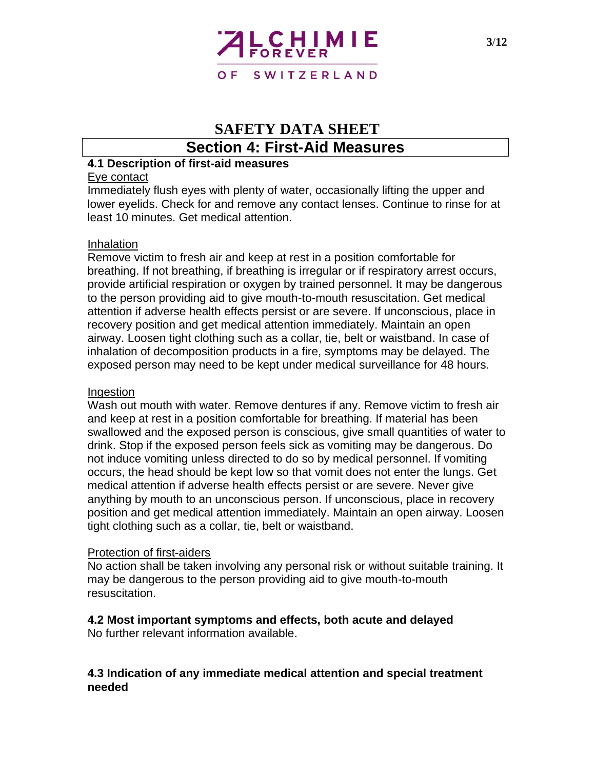

### **Section 4: First-Aid Measures**

#### **4.1 Description of first-aid measures**

#### Eye contact

Immediately flush eyes with plenty of water, occasionally lifting the upper and lower eyelids. Check for and remove any contact lenses. Continue to rinse for at least 10 minutes. Get medical attention.

#### Inhalation

Remove victim to fresh air and keep at rest in a position comfortable for breathing. If not breathing, if breathing is irregular or if respiratory arrest occurs, provide artificial respiration or oxygen by trained personnel. It may be dangerous to the person providing aid to give mouth-to-mouth resuscitation. Get medical attention if adverse health effects persist or are severe. If unconscious, place in recovery position and get medical attention immediately. Maintain an open airway. Loosen tight clothing such as a collar, tie, belt or waistband. In case of inhalation of decomposition products in a fire, symptoms may be delayed. The exposed person may need to be kept under medical surveillance for 48 hours.

#### Ingestion

Wash out mouth with water. Remove dentures if any. Remove victim to fresh air and keep at rest in a position comfortable for breathing. If material has been swallowed and the exposed person is conscious, give small quantities of water to drink. Stop if the exposed person feels sick as vomiting may be dangerous. Do not induce vomiting unless directed to do so by medical personnel. If vomiting occurs, the head should be kept low so that vomit does not enter the lungs. Get medical attention if adverse health effects persist or are severe. Never give anything by mouth to an unconscious person. If unconscious, place in recovery position and get medical attention immediately. Maintain an open airway. Loosen tight clothing such as a collar, tie, belt or waistband.

#### Protection of first-aiders

No action shall be taken involving any personal risk or without suitable training. It may be dangerous to the person providing aid to give mouth-to-mouth resuscitation.

### **4.2 Most important symptoms and effects, both acute and delayed**

No further relevant information available.

#### **4.3 Indication of any immediate medical attention and special treatment needed**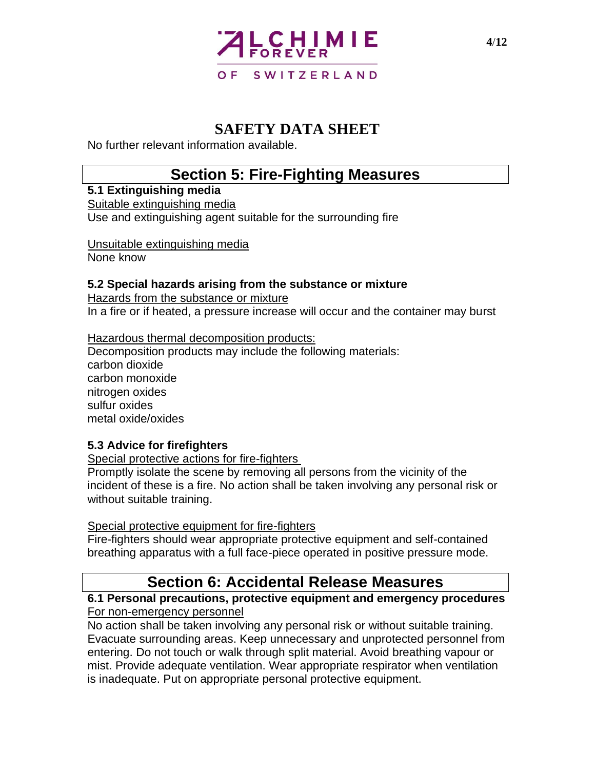

No further relevant information available.

## **Section 5: Fire-Fighting Measures**

**5.1 Extinguishing media** Suitable extinguishing media Use and extinguishing agent suitable for the surrounding fire

Unsuitable extinguishing media None know

### **5.2 Special hazards arising from the substance or mixture**

Hazards from the substance or mixture In a fire or if heated, a pressure increase will occur and the container may burst

Hazardous thermal decomposition products: Decomposition products may include the following materials: carbon dioxide carbon monoxide nitrogen oxides sulfur oxides metal oxide/oxides

### **5.3 Advice for firefighters**

Special protective actions for fire-fighters

Promptly isolate the scene by removing all persons from the vicinity of the incident of these is a fire. No action shall be taken involving any personal risk or without suitable training.

#### Special protective equipment for fire-fighters

Fire-fighters should wear appropriate protective equipment and self-contained breathing apparatus with a full face-piece operated in positive pressure mode.

## **Section 6: Accidental Release Measures**

#### **6.1 Personal precautions, protective equipment and emergency procedures** For non-emergency personnel

No action shall be taken involving any personal risk or without suitable training. Evacuate surrounding areas. Keep unnecessary and unprotected personnel from entering. Do not touch or walk through split material. Avoid breathing vapour or mist. Provide adequate ventilation. Wear appropriate respirator when ventilation is inadequate. Put on appropriate personal protective equipment.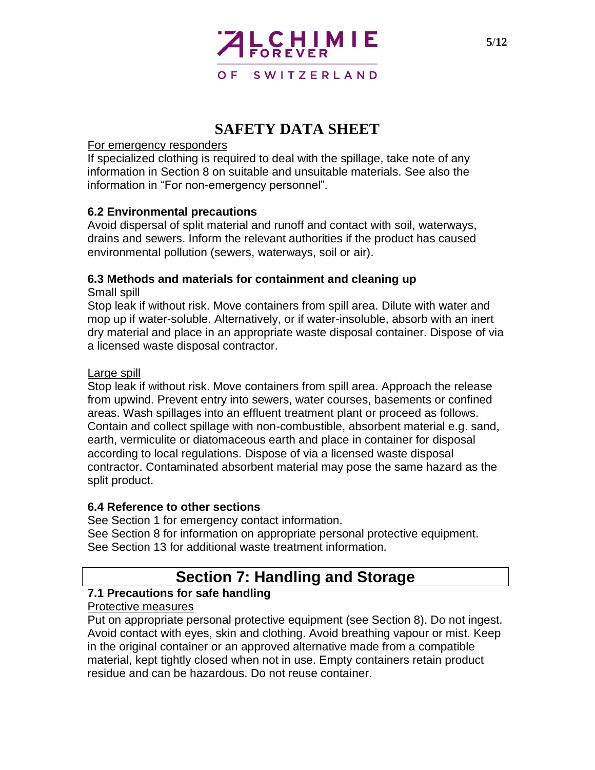

#### For emergency responders

If specialized clothing is required to deal with the spillage, take note of any information in Section 8 on suitable and unsuitable materials. See also the information in "For non-emergency personnel".

### **6.2 Environmental precautions**

Avoid dispersal of split material and runoff and contact with soil, waterways, drains and sewers. Inform the relevant authorities if the product has caused environmental pollution (sewers, waterways, soil or air).

### **6.3 Methods and materials for containment and cleaning up**

### Small spill

Stop leak if without risk. Move containers from spill area. Dilute with water and mop up if water-soluble. Alternatively, or if water-insoluble, absorb with an inert dry material and place in an appropriate waste disposal container. Dispose of via a licensed waste disposal contractor.

#### Large spill

Stop leak if without risk. Move containers from spill area. Approach the release from upwind. Prevent entry into sewers, water courses, basements or confined areas. Wash spillages into an effluent treatment plant or proceed as follows. Contain and collect spillage with non-combustible, absorbent material e.g. sand, earth, vermiculite or diatomaceous earth and place in container for disposal according to local regulations. Dispose of via a licensed waste disposal contractor. Contaminated absorbent material may pose the same hazard as the split product.

### **6.4 Reference to other sections**

See Section 1 for emergency contact information. See Section 8 for information on appropriate personal protective equipment. See Section 13 for additional waste treatment information.

# **Section 7: Handling and Storage**

### **7.1 Precautions for safe handling**

#### Protective measures

Put on appropriate personal protective equipment (see Section 8). Do not ingest. Avoid contact with eyes, skin and clothing. Avoid breathing vapour or mist. Keep in the original container or an approved alternative made from a compatible material, kept tightly closed when not in use. Empty containers retain product residue and can be hazardous. Do not reuse container.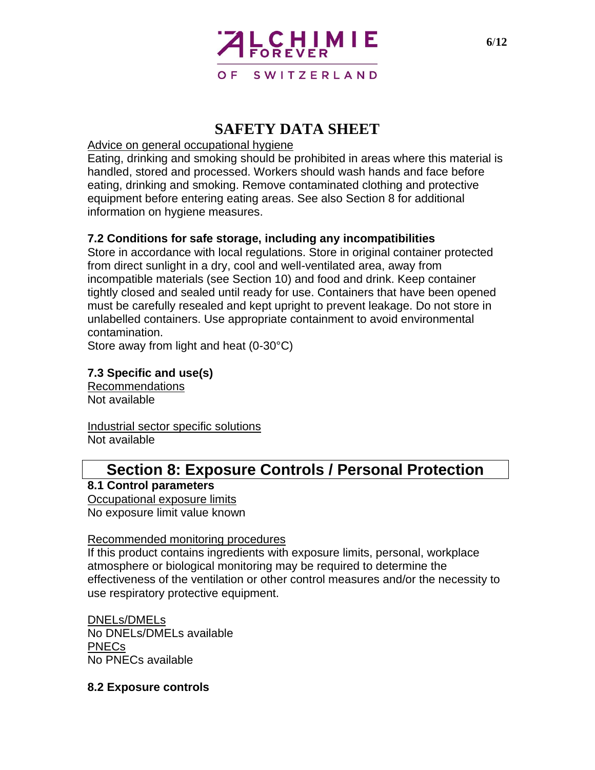

#### Advice on general occupational hygiene

Eating, drinking and smoking should be prohibited in areas where this material is handled, stored and processed. Workers should wash hands and face before eating, drinking and smoking. Remove contaminated clothing and protective equipment before entering eating areas. See also Section 8 for additional information on hygiene measures.

#### **7.2 Conditions for safe storage, including any incompatibilities**

Store in accordance with local regulations. Store in original container protected from direct sunlight in a dry, cool and well-ventilated area, away from incompatible materials (see Section 10) and food and drink. Keep container tightly closed and sealed until ready for use. Containers that have been opened must be carefully resealed and kept upright to prevent leakage. Do not store in unlabelled containers. Use appropriate containment to avoid environmental contamination.

Store away from light and heat (0-30°C)

#### **7.3 Specific and use(s)**

Recommendations Not available

Industrial sector specific solutions Not available

# **Section 8: Exposure Controls / Personal Protection**

#### **8.1 Control parameters**

Occupational exposure limits No exposure limit value known

#### Recommended monitoring procedures

If this product contains ingredients with exposure limits, personal, workplace atmosphere or biological monitoring may be required to determine the effectiveness of the ventilation or other control measures and/or the necessity to use respiratory protective equipment.

DNELs/DMELs No DNELs/DMELs available PNECs No PNECs available

#### **8.2 Exposure controls**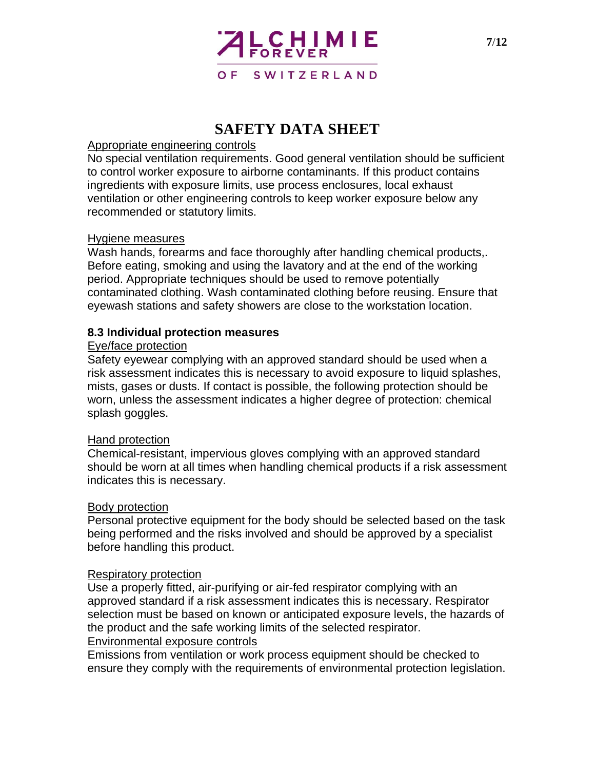

#### Appropriate engineering controls

No special ventilation requirements. Good general ventilation should be sufficient to control worker exposure to airborne contaminants. If this product contains ingredients with exposure limits, use process enclosures, local exhaust ventilation or other engineering controls to keep worker exposure below any recommended or statutory limits.

#### Hygiene measures

Wash hands, forearms and face thoroughly after handling chemical products,. Before eating, smoking and using the lavatory and at the end of the working period. Appropriate techniques should be used to remove potentially contaminated clothing. Wash contaminated clothing before reusing. Ensure that eyewash stations and safety showers are close to the workstation location.

### **8.3 Individual protection measures**

#### Eye/face protection

Safety eyewear complying with an approved standard should be used when a risk assessment indicates this is necessary to avoid exposure to liquid splashes, mists, gases or dusts. If contact is possible, the following protection should be worn, unless the assessment indicates a higher degree of protection: chemical splash goggles.

#### Hand protection

Chemical-resistant, impervious gloves complying with an approved standard should be worn at all times when handling chemical products if a risk assessment indicates this is necessary.

#### Body protection

Personal protective equipment for the body should be selected based on the task being performed and the risks involved and should be approved by a specialist before handling this product.

#### Respiratory protection

Use a properly fitted, air-purifying or air-fed respirator complying with an approved standard if a risk assessment indicates this is necessary. Respirator selection must be based on known or anticipated exposure levels, the hazards of the product and the safe working limits of the selected respirator. Environmental exposure controls

Emissions from ventilation or work process equipment should be checked to ensure they comply with the requirements of environmental protection legislation.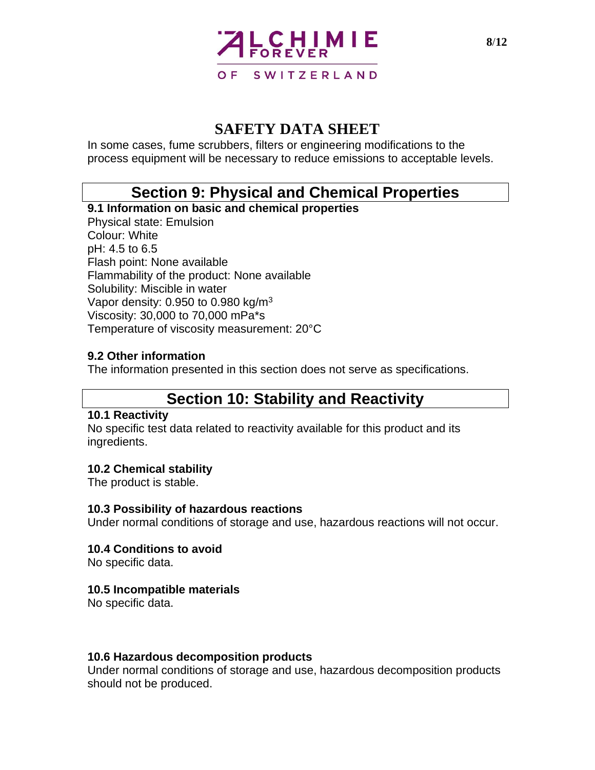

In some cases, fume scrubbers, filters or engineering modifications to the process equipment will be necessary to reduce emissions to acceptable levels.

## **Section 9: Physical and Chemical Properties**

**9.1 Information on basic and chemical properties** Physical state: Emulsion Colour: White pH: 4.5 to 6.5 Flash point: None available Flammability of the product: None available Solubility: Miscible in water Vapor density:  $0.950$  to  $0.980$  kg/m<sup>3</sup> Viscosity: 30,000 to 70,000 mPa\*s Temperature of viscosity measurement: 20°C

#### **9.2 Other information**

The information presented in this section does not serve as specifications.

## **Section 10: Stability and Reactivity**

#### **10.1 Reactivity**

No specific test data related to reactivity available for this product and its ingredients.

#### **10.2 Chemical stability**

The product is stable.

#### **10.3 Possibility of hazardous reactions**

Under normal conditions of storage and use, hazardous reactions will not occur.

#### **10.4 Conditions to avoid**

No specific data.

#### **10.5 Incompatible materials**

No specific data.

#### **10.6 Hazardous decomposition products**

Under normal conditions of storage and use, hazardous decomposition products should not be produced.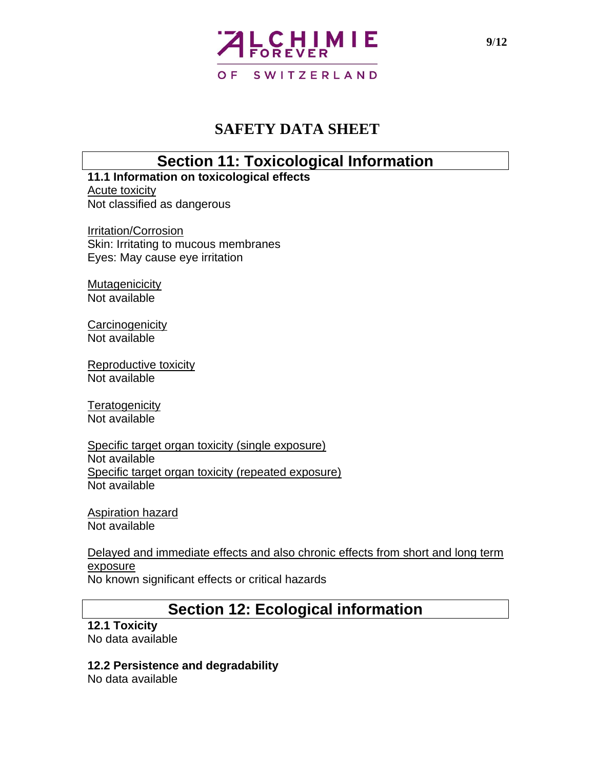

## **Section 11: Toxicological Information**

**11.1 Information on toxicological effects** Acute toxicity Not classified as dangerous

Irritation/Corrosion Skin: Irritating to mucous membranes Eyes: May cause eye irritation

**Mutagenicicity** Not available

**Carcinogenicity** Not available

Reproductive toxicity Not available

**Teratogenicity** Not available

Specific target organ toxicity (single exposure) Not available Specific target organ toxicity (repeated exposure) Not available

Aspiration hazard Not available

Delayed and immediate effects and also chronic effects from short and long term exposure No known significant effects or critical hazards

# **Section 12: Ecological information**

**12.1 Toxicity** No data available

### **12.2 Persistence and degradability**

No data available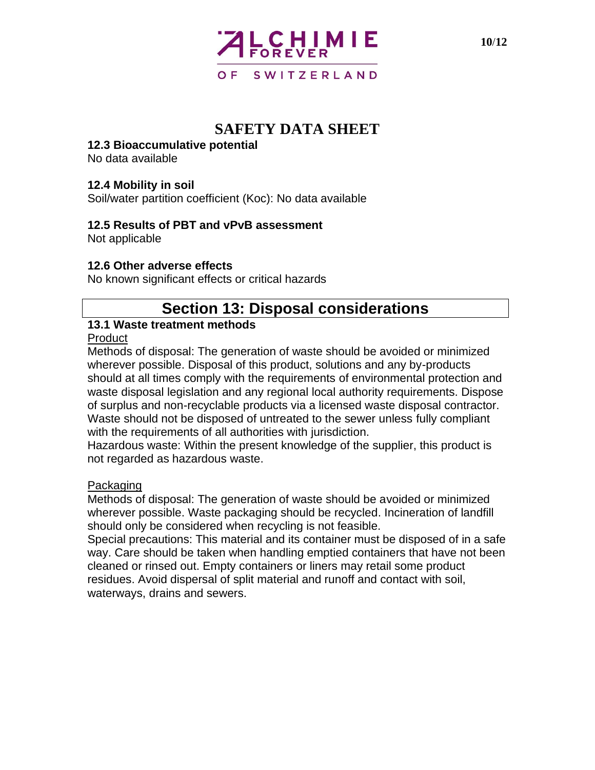

#### **12.3 Bioaccumulative potential**

No data available

#### **12.4 Mobility in soil**

Soil/water partition coefficient (Koc): No data available

#### **12.5 Results of PBT and vPvB assessment**

Not applicable

#### **12.6 Other adverse effects**

No known significant effects or critical hazards

## **Section 13: Disposal considerations**

#### **13.1 Waste treatment methods**

#### **Product**

Methods of disposal: The generation of waste should be avoided or minimized wherever possible. Disposal of this product, solutions and any by-products should at all times comply with the requirements of environmental protection and waste disposal legislation and any regional local authority requirements. Dispose of surplus and non-recyclable products via a licensed waste disposal contractor. Waste should not be disposed of untreated to the sewer unless fully compliant with the requirements of all authorities with jurisdiction.

Hazardous waste: Within the present knowledge of the supplier, this product is not regarded as hazardous waste.

#### Packaging

Methods of disposal: The generation of waste should be avoided or minimized wherever possible. Waste packaging should be recycled. Incineration of landfill should only be considered when recycling is not feasible.

Special precautions: This material and its container must be disposed of in a safe way. Care should be taken when handling emptied containers that have not been cleaned or rinsed out. Empty containers or liners may retail some product residues. Avoid dispersal of split material and runoff and contact with soil, waterways, drains and sewers.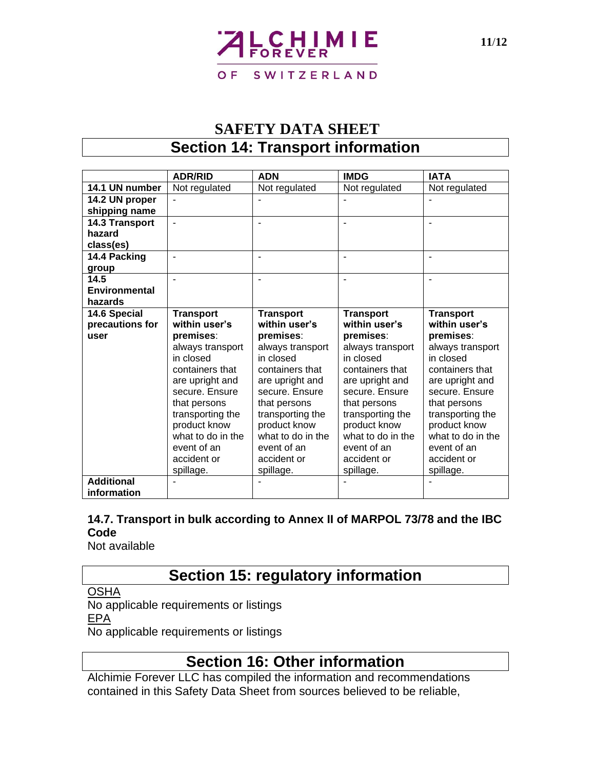# CHIMIE O F SWITZERLAND

# **SAFETY DATA SHEET Section 14: Transport information**

|                   | <b>ADR/RID</b>    | <b>ADN</b>        | <b>IMDG</b>       | <b>IATA</b>       |
|-------------------|-------------------|-------------------|-------------------|-------------------|
| 14.1 UN number    | Not regulated     | Not regulated     | Not regulated     | Not regulated     |
| 14.2 UN proper    |                   |                   |                   |                   |
| shipping name     |                   |                   |                   |                   |
| 14.3 Transport    | L,                |                   |                   |                   |
| hazard            |                   |                   |                   |                   |
| class(es)         |                   |                   |                   |                   |
| 14.4 Packing      |                   |                   |                   |                   |
| group             |                   |                   |                   |                   |
| 14.5              |                   |                   |                   |                   |
| Environmental     |                   |                   |                   |                   |
| hazards           |                   |                   |                   |                   |
| 14.6 Special      | <b>Transport</b>  | <b>Transport</b>  | <b>Transport</b>  | <b>Transport</b>  |
| precautions for   | within user's     | within user's     | within user's     | within user's     |
| user              | premises:         | premises:         | premises:         | premises:         |
|                   | always transport  | always transport  | always transport  | always transport  |
|                   | in closed         | in closed         | in closed         | in closed         |
|                   | containers that   | containers that   | containers that   | containers that   |
|                   | are upright and   | are upright and   | are upright and   | are upright and   |
|                   | secure. Ensure    | secure. Ensure    | secure. Ensure    | secure. Ensure    |
|                   | that persons      | that persons      | that persons      | that persons      |
|                   | transporting the  | transporting the  | transporting the  | transporting the  |
|                   | product know      | product know      | product know      | product know      |
|                   | what to do in the | what to do in the | what to do in the | what to do in the |
|                   | event of an       | event of an       | event of an       | event of an       |
|                   | accident or       | accident or       | accident or       | accident or       |
|                   | spillage.         | spillage.         | spillage.         | spillage.         |
| <b>Additional</b> |                   |                   |                   |                   |
| information       |                   |                   |                   |                   |

### **14.7. Transport in bulk according to Annex II of MARPOL 73/78 and the IBC Code**

Not available

# **Section 15: regulatory information**

**OSHA** 

No applicable requirements or listings EPA

No applicable requirements or listings

# **Section 16: Other information**

Alchimie Forever LLC has compiled the information and recommendations contained in this Safety Data Sheet from sources believed to be reliable,